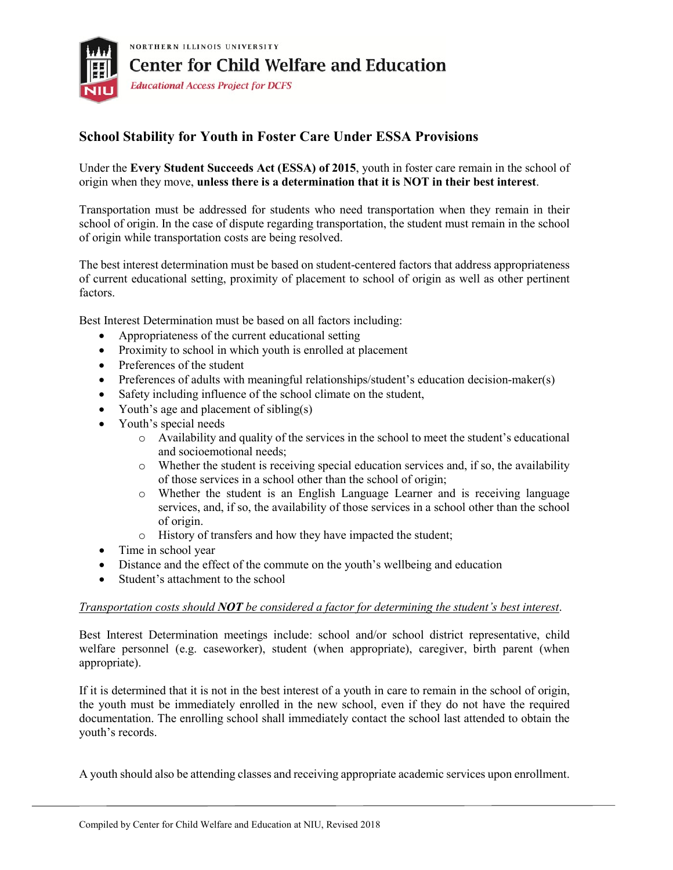

## **School Stability for Youth in Foster Care Under ESSA Provisions**

Under the **Every Student Succeeds Act (ESSA) of 2015**, youth in foster care remain in the school of origin when they move, **unless there is a determination that it is NOT in their best interest**.

Transportation must be addressed for students who need transportation when they remain in their school of origin. In the case of dispute regarding transportation, the student must remain in the school of origin while transportation costs are being resolved.

The best interest determination must be based on student-centered factors that address appropriateness of current educational setting, proximity of placement to school of origin as well as other pertinent factors.

Best Interest Determination must be based on all factors including:

- Appropriateness of the current educational setting
- Proximity to school in which youth is enrolled at placement
- Preferences of the student
- Preferences of adults with meaningful relationships/student's education decision-maker(s)
- Safety including influence of the school climate on the student,
- Youth's age and placement of sibling(s)
- Youth's special needs
	- o Availability and quality of the services in the school to meet the student's educational and socioemotional needs;
	- o Whether the student is receiving special education services and, if so, the availability of those services in a school other than the school of origin;
	- o Whether the student is an English Language Learner and is receiving language services, and, if so, the availability of those services in a school other than the school of origin.
	- o History of transfers and how they have impacted the student;
- Time in school year
- Distance and the effect of the commute on the youth's wellbeing and education
- Student's attachment to the school

## *Transportation costs should NOT be considered a factor for determining the student's best interest*.

Best Interest Determination meetings include: school and/or school district representative, child welfare personnel (e.g. caseworker), student (when appropriate), caregiver, birth parent (when appropriate).

If it is determined that it is not in the best interest of a youth in care to remain in the school of origin, the youth must be immediately enrolled in the new school, even if they do not have the required documentation. The enrolling school shall immediately contact the school last attended to obtain the youth's records.

A youth should also be attending classes and receiving appropriate academic services upon enrollment.